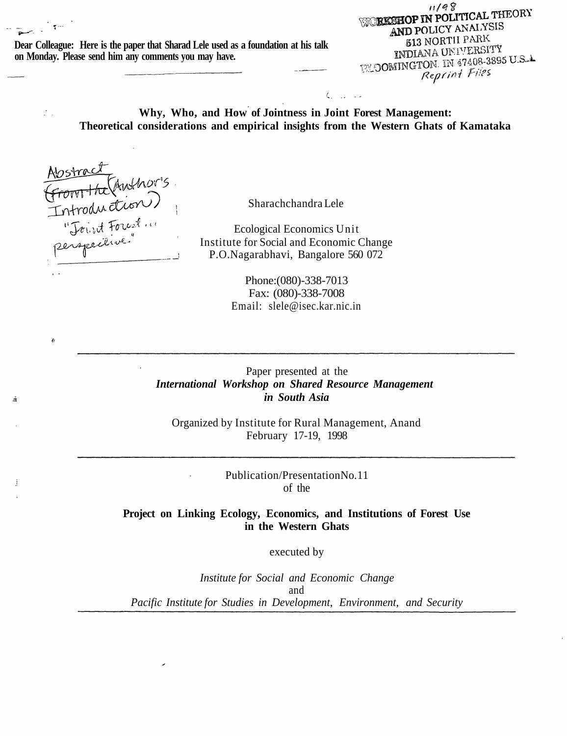**Dear Colleague: Here is the paper that Sharad Lele used as a foundation at his talk on Monday. Please send him any comments you may have.**

 $11/98$ **WORKSHOP IN POLITICAL THEORY** AND POLICY ANALYSIS **513 NORTH PARK** INDIANA UNIVERSITY **INDIANA UNITARY 12**<br>EXOOMINGTON, IN 47408-3895 U.S.A. Reprint Files

**Why, Who, and How of Jointness in Joint Forest Management: Theoretical considerations and empirical insights from the Western Ghats of Kamataka**

 $\zeta_{1}$  ,  $\zeta_{2}$  ,  $\zeta_{3}$ 

Abstract<br>From the Chuthor's<br>Introduction

 $\mathcal{I}_{\mathcal{A}}$ 

ł

ž

Sharachchandra Lele

Ecological Economics Unit Institute for Social and Economic Change P.O.Nagarabhavi, Bangalore 560 072

> Phone:(080)-338-7013 Fax: (080)-338-7008 Email: slele@isec.kar.nic.in

Paper presented at the *International Workshop on Shared Resource Management in South Asia*

Organized by Institute for Rural Management, Anand February 17-19, 1998

> Publication/Presentation No. 11 of the

**Project on Linking Ecology, Economics, and Institutions of Forest Use in the Western Ghats**

executed by

*Institute for Social and Economic Change* and *Pacific Institute for Studies in Development, Environment, and Security*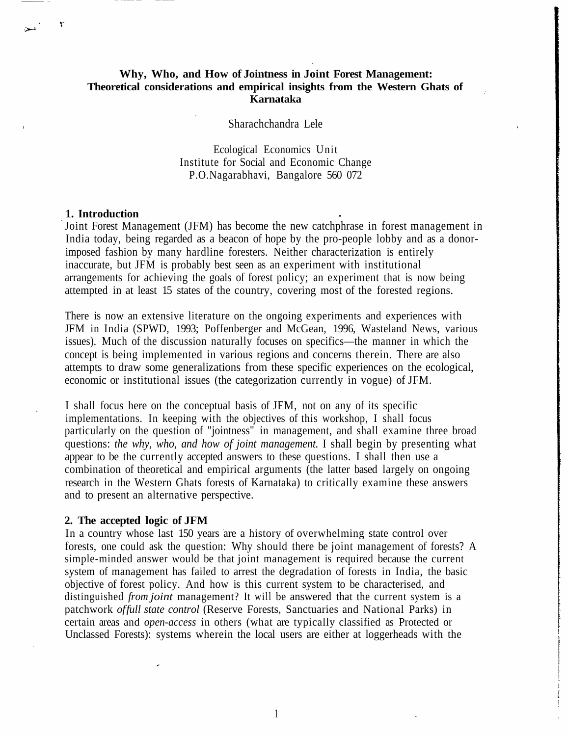# **Why, Who, and How of Jointness in Joint Forest Management: Theoretical considerations and empirical insights from the Western Ghats of Karnataka**

Sharachchandra Lele

Ecological Economics Unit Institute for Social and Economic Change P.O.Nagarabhavi, Bangalore 560 072

#### **1. Introduction**

Joint Forest Management (JFM) has become the new catchphrase in forest management in India today, being regarded as a beacon of hope by the pro-people lobby and as a donorimposed fashion by many hardline foresters. Neither characterization is entirely inaccurate, but JFM is probably best seen as an experiment with institutional arrangements for achieving the goals of forest policy; an experiment that is now being attempted in at least 15 states of the country, covering most of the forested regions.

There is now an extensive literature on the ongoing experiments and experiences with JFM in India (SPWD, 1993; Poffenberger and McGean, 1996, Wasteland News, various issues). Much of the discussion naturally focuses on specifics—the manner in which the concept is being implemented in various regions and concerns therein. There are also attempts to draw some generalizations from these specific experiences on the ecological, economic or institutional issues (the categorization currently in vogue) of JFM.

I shall focus here on the conceptual basis of JFM, not on any of its specific implementations. In keeping with the objectives of this workshop, I shall focus particularly on the question of "jointness" in management, and shall examine three broad questions: *the why, who, and how of joint management.* I shall begin by presenting what appear to be the currently accepted answers to these questions. I shall then use a combination of theoretical and empirical arguments (the latter based largely on ongoing research in the Western Ghats forests of Karnataka) to critically examine these answers and to present an alternative perspective.

## **2. The accepted logic of JFM**

In a country whose last 150 years are a history of overwhelming state control over forests, one could ask the question: Why should there be joint management of forests? A simple-minded answer would be that joint management is required because the current system of management has failed to arrest the degradation of forests in India, the basic objective of forest policy. And how is this current system to be characterised, and distinguished *from joint* management? It will be answered that the current system is a patchwork *of full state control* (Reserve Forests, Sanctuaries and National Parks) in certain areas and *open-access* in others (what are typically classified as Protected or Unclassed Forests): systems wherein the local users are either at loggerheads with the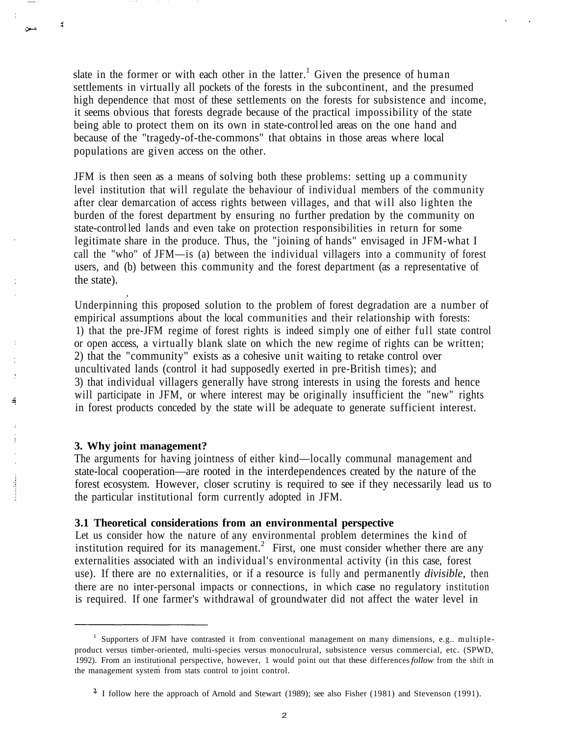slate in the former or with each other in the latter.<sup>1</sup> Given the presence of human settlements in virtually all pockets of the forests in the subcontinent, and the presumed high dependence that most of these settlements on the forests for subsistence and income, it seems obvious that forests degrade because of the practical impossibility of the state being able to protect them on its own in state-control led areas on the one hand and because of the "tragedy-of-the-commons" that obtains in those areas where local populations are given access on the other.

JFM is then seen as a means of solving both these problems: setting up a community level institution that will regulate the behaviour of individual members of the community after clear demarcation of access rights between villages, and that will also lighten the burden of the forest department by ensuring no further predation by the community on state-control led lands and even take on protection responsibilities in return for some legitimate share in the produce. Thus, the "joining of hands" envisaged in JFM-what I call the "who" of JFM—is (a) between the individual villagers into a community of forest users, and (b) between this community and the forest department (as a representative of the state).

Underpinning this proposed solution to the problem of forest degradation are a number of empirical assumptions about the local communities and their relationship with forests: 1) that the pre-JFM regime of forest rights is indeed simply one of either full state control or open access, a virtually blank slate on which the new regime of rights can be written; 2) that the "community" exists as a cohesive unit waiting to retake control over uncultivated lands (control it had supposedly exerted in pre-British times); and 3) that individual villagers generally have strong interests in using the forests and hence will participate in JFM, or where interest may be originally insufficient the "new" rights in forest products conceded by the state will be adequate to generate sufficient interest.

## **3. Why joint management?**

 $\hat{a}$ 

 $\sim$ 

á

 $\frac{1}{2}$ 

The arguments for having jointness of either kind—locally communal management and state-local cooperation—are rooted in the interdependences created by the nature of the forest ecosystem. However, closer scrutiny is required to see if they necessarily lead us to the particular institutional form currently adopted in JFM.

## **3.1 Theoretical considerations from an environmental perspective**

Let us consider how the nature of any environmental problem determines the kind of institution required for its management.<sup>2</sup> First, one must consider whether there are any externalities associated with an individual's environmental activity (in this case, forest use). If there are no externalities, or if a resource is fully and permanently *divisible,* then there are no inter-personal impacts or connections, in which case no regulatory institution is required. If one farmer's withdrawal of groundwater did not affect the water level in

<sup>1</sup> Supporters of JFM have contrasted it from conventional management on many dimensions, e.g.. multipleproduct versus timber-oriented, multi-species versus monoculrural, subsistence versus commercial, etc. (SPWD, 1992). From an institutional perspective, however, 1 would point out that these differences *follow* from the shift in the management system from stats control to joint control.

<sup>\*</sup> I follow here the approach of Arnold and Stewart (1989); see also Fisher (1981) and Stevenson (1991).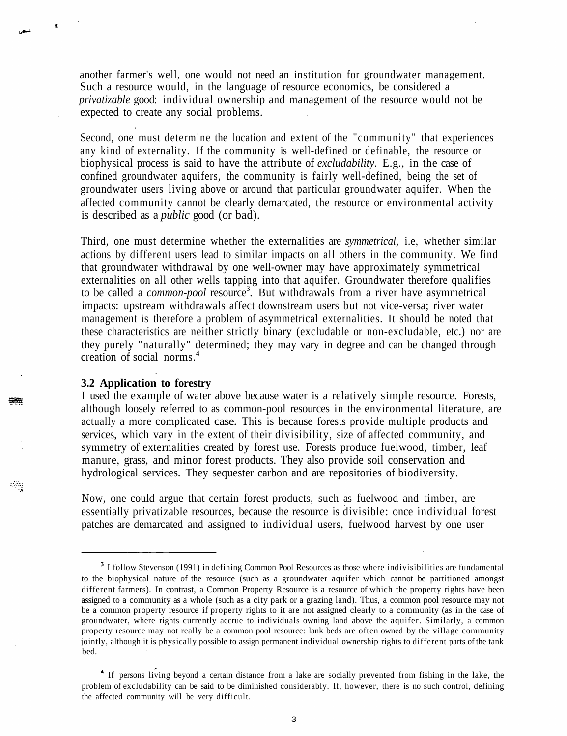another farmer's well, one would not need an institution for groundwater management. Such a resource would, in the language of resource economics, be considered a *privatizable* good: individual ownership and management of the resource would not be expected to create any social problems.

Second, one must determine the location and extent of the "community" that experiences any kind of externality. If the community is well-defined or definable, the resource or biophysical process is said to have the attribute of *excludability.* E.g., in the case of confined groundwater aquifers, the community is fairly well-defined, being the set of groundwater users living above or around that particular groundwater aquifer. When the affected community cannot be clearly demarcated, the resource or environmental activity is described as a *public* good (or bad).

Third, one must determine whether the externalities are *symmetrical,* i.e, whether similar actions by different users lead to similar impacts on all others in the community. We find that groundwater withdrawal by one well-owner may have approximately symmetrical externalities on all other wells tapping into that aquifer. Groundwater therefore qualifies to be called a *common-pool* resource<sup>3</sup>. But withdrawals from a river have asymmetrical impacts: upstream withdrawals affect downstream users but not vice-versa; river water management is therefore a problem of asymmetrical externalities. It should be noted that these characteristics are neither strictly binary (excludable or non-excludable, etc.) nor are they purely "naturally" determined; they may vary in degree and can be changed through creation of social norms.<sup>4</sup>

## **3.2 Application to forestry**

 $\tilde{a}$ 

I used the example of water above because water is a relatively simple resource. Forests, although loosely referred to as common-pool resources in the environmental literature, are actually a more complicated case. This is because forests provide multiple products and services, which vary in the extent of their divisibility, size of affected community, and symmetry of externalities created by forest use. Forests produce fuelwood, timber, leaf manure, grass, and minor forest products. They also provide soil conservation and hydrological services. They sequester carbon and are repositories of biodiversity.

Now, one could argue that certain forest products, such as fuelwood and timber, are essentially privatizable resources, because the resource is divisible: once individual forest patches are demarcated and assigned to individual users, fuelwood harvest by one user

<sup>&</sup>lt;sup>3</sup> I follow Stevenson (1991) in defining Common Pool Resources as those where indivisibilities are fundamental to the biophysical nature of the resource (such as a groundwater aquifer which cannot be partitioned amongst different farmers). In contrast, a Common Property Resource is a resource of which the property rights have been assigned to a community as a whole (such as a city park or a grazing land). Thus, a common pool resource may not be a common property resource if property rights to it are not assigned clearly to a community (as in the case of groundwater, where rights currently accrue to individuals owning land above the aquifer. Similarly, a common property resource may not really be a common pool resource: lank beds are often owned by the village community jointly, although it is physically possible to assign permanent individual ownership rights to different parts of the tank bed.

If persons living beyond a certain distance from a lake are socially prevented from fishing in the lake, the problem of excludability can be said to be diminished considerably. If, however, there is no such control, defining the affected community will be very difficult.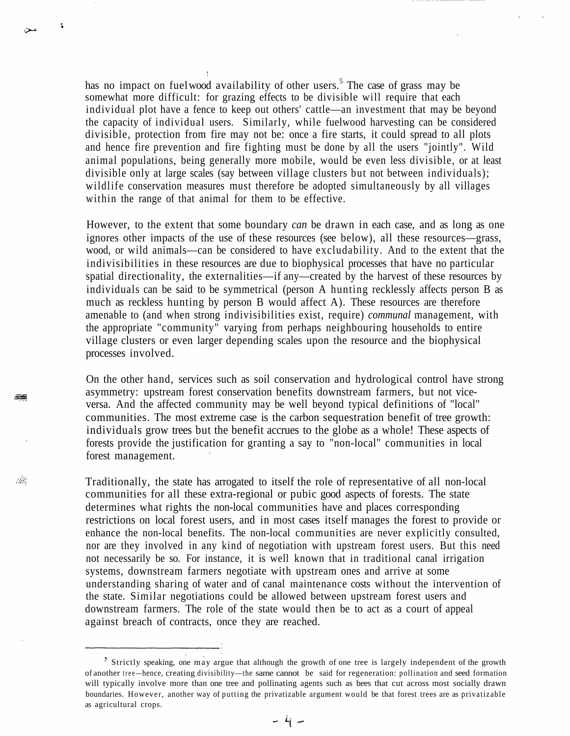has no impact on fuel wood availability of other users.<sup>5</sup> The case of grass may be somewhat more difficult: for grazing effects to be divisible will require that each individual plot have a fence to keep out others' cattle—an investment that may be beyond the capacity of individual users. Similarly, while fuelwood harvesting can be considered divisible, protection from fire may not be: once a fire starts, it could spread to all plots and hence fire prevention and fire fighting must be done by all the users "jointly". Wild animal populations, being generally more mobile, would be even less divisible, or at least divisible only at large scales (say between village clusters but not between individuals); wildlife conservation measures must therefore be adopted simultaneously by all villages within the range of that animal for them to be effective.

 $\mathbf{R}$ 

التبلان

三座

靈

However, to the extent that some boundary *can* be drawn in each case, and as long as one ignores other impacts of the use of these resources (see below), all these resources—grass, wood, or wild animals—can be considered to have excludability. And to the extent that the indivisibilities in these resources are due to biophysical processes that have no particular spatial directionality, the externalities—if any—created by the harvest of these resources by individuals can be said to be symmetrical (person A hunting recklessly affects person B as much as reckless hunting by person B would affect A). These resources are therefore amenable to (and when strong indivisibilities exist, require) *communal* management, with the appropriate "community" varying from perhaps neighbouring households to entire village clusters or even larger depending scales upon the resource and the biophysical processes involved.

On the other hand, services such as soil conservation and hydrological control have strong asymmetry: upstream forest conservation benefits downstream farmers, but not viceversa. And the affected community may be well beyond typical definitions of "local" communities. The most extreme case is the carbon sequestration benefit of tree growth: individuals grow trees but the benefit accrues to the globe as a whole! These aspects of forests provide the justification for granting a say to "non-local" communities in local forest management.

Traditionally, the state has arrogated to itself the role of representative of all non-local communities for all these extra-regional or pubic good aspects of forests. The state determines what rights the non-local communities have and places corresponding restrictions on local forest users, and in most cases itself manages the forest to provide or enhance the non-local benefits. The non-local communities are never explicitly consulted, nor are they involved in any kind of negotiation with upstream forest users. But this need not necessarily be so. For instance, it is well known that in traditional canal irrigation systems, downstream farmers negotiate with upstream ones and arrive at some understanding sharing of water and of canal maintenance costs without the intervention of the state. Similar negotiations could be allowed between upstream forest users and downstream farmers. The role of the state would then be to act as a court of appeal against breach of contracts, once they are reached.

Strictly speaking, one may argue that although the growth of one tree is largely independent of the growth of another tree — hence, creating divisibility—the same cannot be said for regeneration: pollination and seed formation will typically involve more than one tree and pollinating agents such as bees that cut across most socially drawn boundaries. However, another way of putting the privatizable argument would be that forest trees are as privatizable as agricultural crops.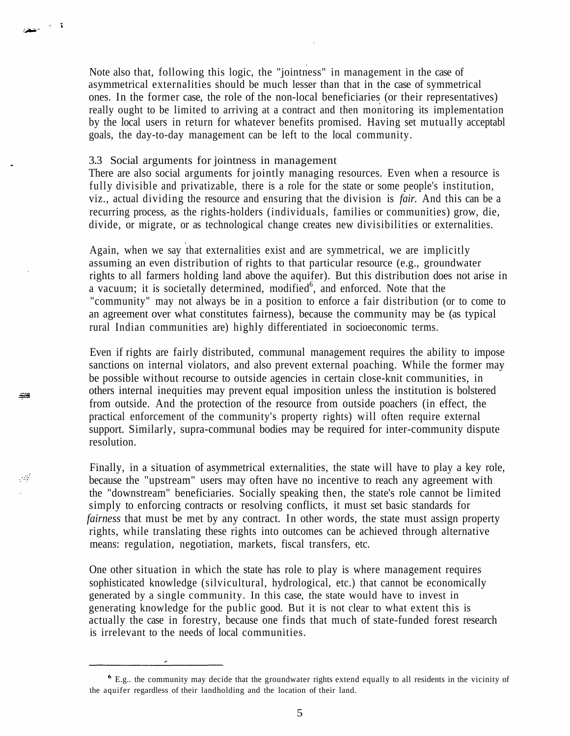Note also that, following this logic, the "jointness" in management in the case of asymmetrical externalities should be much lesser than that in the case of symmetrical ones. In the former case, the role of the non-local beneficiaries (or their representatives) really ought to be limited to arriving at a contract and then monitoring its implementation by the local users in return for whatever benefits promised. Having set mutually acceptabl goals, the day-to-day management can be left to the local community.

### 3.3 Social arguments for jointness in management

ة المستحقق

₩

್ಲಿಷ್

There are also social arguments for jointly managing resources. Even when a resource is fully divisible and privatizable, there is a role for the state or some people's institution, viz., actual dividing the resource and ensuring that the division is *fair.* And this can be a recurring process, as the rights-holders (individuals, families or communities) grow, die, divide, or migrate, or as technological change creates new divisibilities or externalities.

Again, when we say that externalities exist and are symmetrical, we are implicitly assuming an even distribution of rights to that particular resource (e.g., groundwater rights to all farmers holding land above the aquifer). But this distribution does not arise in a vacuum; it is societally determined, modified<sup>6</sup>, and enforced. Note that the "community" may not always be in a position to enforce a fair distribution (or to come to an agreement over what constitutes fairness), because the community may be (as typical rural Indian communities are) highly differentiated in socioeconomic terms.

Even if rights are fairly distributed, communal management requires the ability to impose sanctions on internal violators, and also prevent external poaching. While the former may be possible without recourse to outside agencies in certain close-knit communities, in others internal inequities may prevent equal imposition unless the institution is bolstered from outside. And the protection of the resource from outside poachers (in effect, the practical enforcement of the community's property rights) will often require external support. Similarly, supra-communal bodies may be required for inter-community dispute resolution.

Finally, in a situation of asymmetrical externalities, the state will have to play a key role, because the "upstream" users may often have no incentive to reach any agreement with the "downstream" beneficiaries. Socially speaking then, the state's role cannot be limited simply to enforcing contracts or resolving conflicts, it must set basic standards for *fairness* that must be met by any contract. In other words, the state must assign property rights, while translating these rights into outcomes can be achieved through alternative means: regulation, negotiation, markets, fiscal transfers, etc.

One other situation in which the state has role to play is where management requires sophisticated knowledge (silvicultural, hydrological, etc.) that cannot be economically generated by a single community. In this case, the state would have to invest in generating knowledge for the public good. But it is not clear to what extent this is actually the case in forestry, because one finds that much of state-funded forest research is irrelevant to the needs of local communities.

E.g.. the community may decide that the groundwater rights extend equally to all residents in the vicinity of the aquifer regardless of their landholding and the location of their land.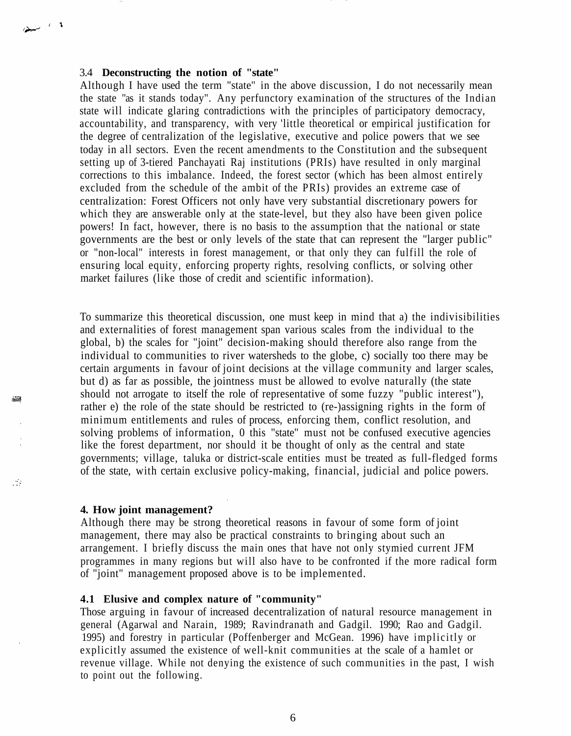## 3.4 **Deconstructing the notion of "state"**

 $\rightarrow$ 

æ

 $\mathbb{R}^2$ 

Although I have used the term "state" in the above discussion, I do not necessarily mean the state "as it stands today". Any perfunctory examination of the structures of the Indian state will indicate glaring contradictions with the principles of participatory democracy, accountability, and transparency, with very 'little theoretical or empirical justification for the degree of centralization of the legislative, executive and police powers that we see today in all sectors. Even the recent amendments to the Constitution and the subsequent setting up of 3-tiered Panchayati Raj institutions (PRIs) have resulted in only marginal corrections to this imbalance. Indeed, the forest sector (which has been almost entirely excluded from the schedule of the ambit of the PRIs) provides an extreme case of centralization: Forest Officers not only have very substantial discretionary powers for which they are answerable only at the state-level, but they also have been given police powers! In fact, however, there is no basis to the assumption that the national or state governments are the best or only levels of the state that can represent the "larger public" or "non-local" interests in forest management, or that only they can fulfill the role of ensuring local equity, enforcing property rights, resolving conflicts, or solving other market failures (like those of credit and scientific information).

To summarize this theoretical discussion, one must keep in mind that a) the indivisibilities and externalities of forest management span various scales from the individual to the global, b) the scales for "joint" decision-making should therefore also range from the individual to communities to river watersheds to the globe, c) socially too there may be certain arguments in favour of joint decisions at the village community and larger scales, but d) as far as possible, the jointness must be allowed to evolve naturally (the state should not arrogate to itself the role of representative of some fuzzy "public interest"), rather e) the role of the state should be restricted to (re-)assigning rights in the form of minimum entitlements and rules of process, enforcing them, conflict resolution, and solving problems of information, 0 this "state" must not be confused executive agencies like the forest department, nor should it be thought of only as the central and state governments; village, taluka or district-scale entities must be treated as full-fledged forms of the state, with certain exclusive policy-making, financial, judicial and police powers.

### **4. How joint management?**

Although there may be strong theoretical reasons in favour of some form of joint management, there may also be practical constraints to bringing about such an arrangement. I briefly discuss the main ones that have not only stymied current JFM programmes in many regions but will also have to be confronted if the more radical form of "joint" management proposed above is to be implemented.

#### **4.1 Elusive and complex nature of "community"**

Those arguing in favour of increased decentralization of natural resource management in general (Agarwal and Narain, 1989; Ravindranath and Gadgil. 1990; Rao and Gadgil. 1995) and forestry in particular (Poffenberger and McGean. 1996) have implicitly or explicitly assumed the existence of well-knit communities at the scale of a hamlet or revenue village. While not denying the existence of such communities in the past, I wish to point out the following.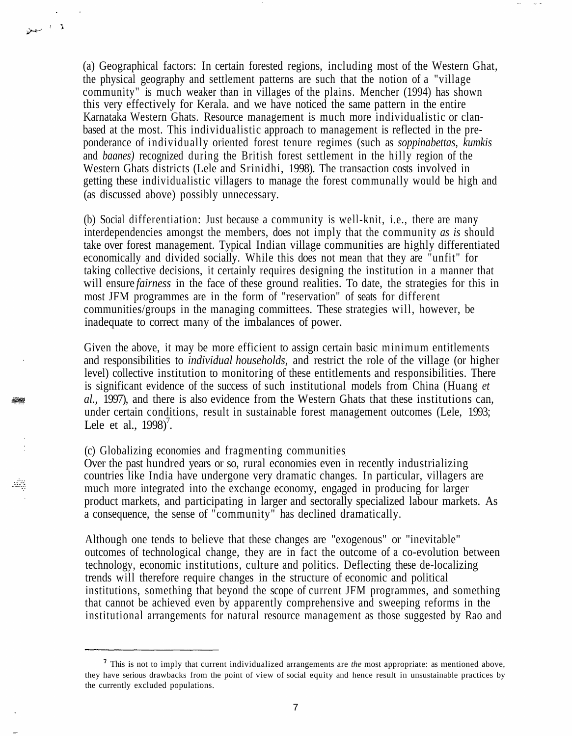(a) Geographical factors: In certain forested regions, including most of the Western Ghat, the physical geography and settlement patterns are such that the notion of a "village community" is much weaker than in villages of the plains. Mencher (1994) has shown this very effectively for Kerala. and we have noticed the same pattern in the entire Karnataka Western Ghats. Resource management is much more individualistic or clanbased at the most. This individualistic approach to management is reflected in the preponderance of individually oriented forest tenure regimes (such as *soppinabettas, kumkis* and *baanes)* recognized during the British forest settlement in the hilly region of the Western Ghats districts (Lele and Srinidhi, 1998). The transaction costs involved in getting these individualistic villagers to manage the forest communally would be high and (as discussed above) possibly unnecessary.

(b) Social differentiation: Just because a community is well-knit, i.e., there are many interdependencies amongst the members, does not imply that the community *as is* should take over forest management. Typical Indian village communities are highly differentiated economically and divided socially. While this does not mean that they are "unfit" for taking collective decisions, it certainly requires designing the institution in a manner that will ensure *fairness* in the face of these ground realities. To date, the strategies for this in most JFM programmes are in the form of "reservation" of seats for different communities/groups in the managing committees. These strategies will, however, be inadequate to correct many of the imbalances of power.

Given the above, it may be more efficient to assign certain basic minimum entitlements and responsibilities to *individual households,* and restrict the role of the village (or higher level) collective institution to monitoring of these entitlements and responsibilities. There is significant evidence of the success of such institutional models from China (Huang *et al.,* 1997), and there is also evidence from the Western Ghats that these institutions can, under certain conditions, result in sustainable forest management outcomes (Lele, 1993; Lele et al.,  $1998$ <sup>7</sup>.

(c) Globalizing economies and fragmenting communities

ة المستعل

æ

ain

Over the past hundred years or so, rural economies even in recently industrializing countries like India have undergone very dramatic changes. In particular, villagers are much more integrated into the exchange economy, engaged in producing for larger product markets, and participating in larger and sectorally specialized labour markets. As a consequence, the sense of "community" has declined dramatically.

Although one tends to believe that these changes are "exogenous" or "inevitable" outcomes of technological change, they are in fact the outcome of a co-evolution between technology, economic institutions, culture and politics. Deflecting these de-localizing trends will therefore require changes in the structure of economic and political institutions, something that beyond the scope of current JFM programmes, and something that cannot be achieved even by apparently comprehensive and sweeping reforms in the institutional arrangements for natural resource management as those suggested by Rao and

This is not to imply that current individualized arrangements are *the* most appropriate: as mentioned above, they have serious drawbacks from the point of view of social equity and hence result in unsustainable practices by the currently excluded populations.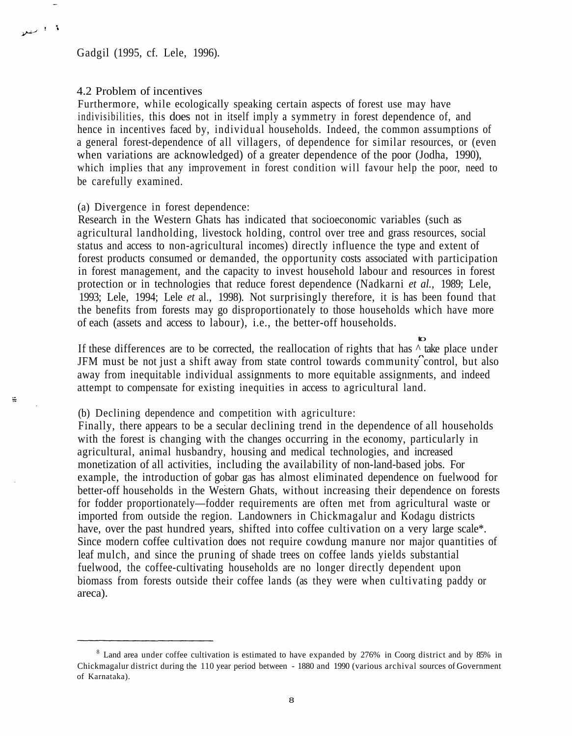Gadgil (1995, cf. Lele, 1996).

## 4.2 Problem of incentives

1.1 منعلا

÷

Furthermore, while ecologically speaking certain aspects of forest use may have indivisibilities, this does not in itself imply a symmetry in forest dependence of, and hence in incentives faced by, individual households. Indeed, the common assumptions of a general forest-dependence of all villagers, of dependence for similar resources, or (even when variations are acknowledged) of a greater dependence of the poor (Jodha, 1990), which implies that any improvement in forest condition will favour help the poor, need to be carefully examined.

## (a) Divergence in forest dependence:

Research in the Western Ghats has indicated that socioeconomic variables (such as agricultural landholding, livestock holding, control over tree and grass resources, social status and access to non-agricultural incomes) directly influence the type and extent of forest products consumed or demanded, the opportunity costs associated with participation in forest management, and the capacity to invest household labour and resources in forest protection or in technologies that reduce forest dependence (Nadkarni *et al.,* 1989; Lele, 1993; Lele, 1994; Lele *et* al., 1998). Not surprisingly therefore, it is has been found that the benefits from forests may go disproportionately to those households which have more of each (assets and access to labour), i.e., the better-off households.

to If these differences are to be corrected, the reallocation of rights that has  $\land$  take place under JFM must be not just a shift away from state control towards community control, but also away from inequitable individual assignments to more equitable assignments, and indeed attempt to compensate for existing inequities in access to agricultural land.

(b) Declining dependence and competition with agriculture:

Finally, there appears to be a secular declining trend in the dependence of all households with the forest is changing with the changes occurring in the economy, particularly in agricultural, animal husbandry, housing and medical technologies, and increased monetization of all activities, including the availability of non-land-based jobs. For example, the introduction of gobar gas has almost eliminated dependence on fuelwood for better-off households in the Western Ghats, without increasing their dependence on forests for fodder proportionately—fodder requirements are often met from agricultural waste or imported from outside the region. Landowners in Chickmagalur and Kodagu districts have, over the past hundred years, shifted into coffee cultivation on a very large scale\*. Since modern coffee cultivation does not require cowdung manure nor major quantities of leaf mulch, and since the pruning of shade trees on coffee lands yields substantial fuelwood, the coffee-cultivating households are no longer directly dependent upon biomass from forests outside their coffee lands (as they were when cultivating paddy or areca).

<sup>&</sup>lt;sup>8</sup> Land area under coffee cultivation is estimated to have expanded by 276% in Coorg district and by 85% in Chickmagalur district during the 110 year period between - 1880 and 1990 (various archival sources of Government of Karnataka).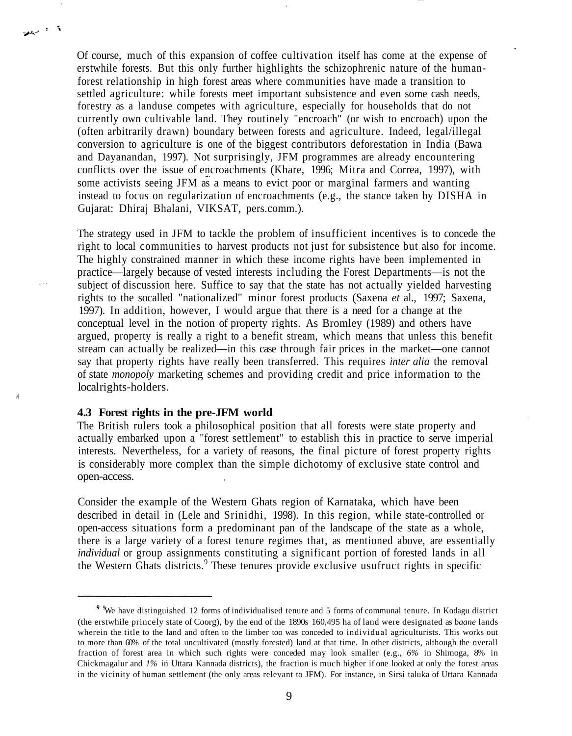Of course, much of this expansion of coffee cultivation itself has come at the expense of erstwhile forests. But this only further highlights the schizophrenic nature of the humanforest relationship in high forest areas where communities have made a transition to settled agriculture: while forests meet important subsistence and even some cash needs, forestry as a landuse competes with agriculture, especially for households that do not currently own cultivable land. They routinely "encroach" (or wish to encroach) upon the (often arbitrarily drawn) boundary between forests and agriculture. Indeed, legal/illegal conversion to agriculture is one of the biggest contributors deforestation in India (Bawa and Dayanandan, 1997). Not surprisingly, JFM programmes are already encountering conflicts over the issue of encroachments (Khare, 1996; Mitra and Correa, 1997), with some activists seeing JFM as a means to evict poor or marginal farmers and wanting instead to focus on regularization of encroachments (e.g., the stance taken by DISHA in Gujarat: Dhiraj Bhalani, VIKSAT, pers.comm.).

The strategy used in JFM to tackle the problem of insufficient incentives is to concede the right to local communities to harvest products not just for subsistence but also for income. The highly constrained manner in which these income rights have been implemented in practice—largely because of vested interests including the Forest Departments—is not the subject of discussion here. Suffice to say that the state has not actually yielded harvesting rights to the socalled "nationalized" minor forest products (Saxena *et* al., 1997; Saxena, 1997). In addition, however, I would argue that there is a need for a change at the conceptual level in the notion of property rights. As Bromley (1989) and others have argued, property is really a right to a benefit stream, which means that unless this benefit stream can actually be realized—in this case through fair prices in the market—one cannot say that property rights have really been transferred. This requires *inter alia* the removal of state *monopoly* marketing schemes and providing credit and price information to the local rights-holders.

# **4.3 Forest rights in the pre-JFM world**

لأرد الريفي

á

The British rulers took a philosophical position that all forests were state property and actually embarked upon a "forest settlement" to establish this in practice to serve imperial interests. Nevertheless, for a variety of reasons, the final picture of forest property rights is considerably more complex than the simple dichotomy of exclusive state control and open-access.

Consider the example of the Western Ghats region of Karnataka, which have been described in detail in (Lele and Srinidhi, 1998). In this region, while state-controlled or open-access situations form a predominant pan of the landscape of the state as a whole, there is a large variety of a forest tenure regimes that, as mentioned above, are essentially *individual* or group assignments constituting a significant portion of forested lands in all the Western Ghats districts.<sup>9</sup> These tenures provide exclusive usufruct rights in specific

<sup>&</sup>lt;sup>9</sup> We have distinguished 12 forms of individualised tenure and 5 forms of communal tenure. In Kodagu district (the erstwhile princely state of Coorg), by the end of the 1890s 160,495 ha of land were designated as b*aane* lands wherein the title to the land and often to the limber too was conceded to individual agriculturists. This works out to more than 60% of the total uncultivated (mostly forested) land at that time. In other districts, although the overall fraction of forest area in which such rights were conceded may look smaller (e.g., *6%* in Shimoga, 8% in Chickmagalur and *1%* in Uttara Kannada districts), the fraction is much higher if one looked at only the forest areas in the vicinity of human settlement (the only areas relevant to JFM). For instance, in Sirsi taluka of Uttara Kannada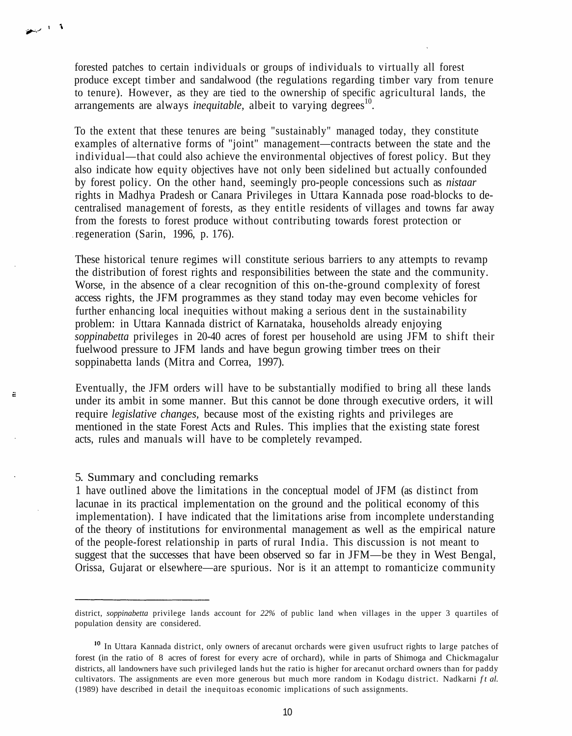forested patches to certain individuals or groups of individuals to virtually all forest produce except timber and sandalwood (the regulations regarding timber vary from tenure to tenure). However, as they are tied to the ownership of specific agricultural lands, the arrangements are always *inequitable*, albeit to varying degrees<sup>10</sup>.

To the extent that these tenures are being "sustainably" managed today, they constitute examples of alternative forms of "joint" management—contracts between the state and the individual—that could also achieve the environmental objectives of forest policy. But they also indicate how equity objectives have not only been sidelined but actually confounded by forest policy. On the other hand, seemingly pro-people concessions such as *nistaar* rights in Madhya Pradesh or Canara Privileges in Uttara Kannada pose road-blocks to decentralised management of forests, as they entitle residents of villages and towns far away from the forests to forest produce without contributing towards forest protection or regeneration (Sarin, 1996, p. 176).

These historical tenure regimes will constitute serious barriers to any attempts to revamp the distribution of forest rights and responsibilities between the state and the community. Worse, in the absence of a clear recognition of this on-the-ground complexity of forest access rights, the JFM programmes as they stand today may even become vehicles for further enhancing local inequities without making a serious dent in the sustainability problem: in Uttara Kannada district of Karnataka, households already enjoying *soppinabetta* privileges in 20-40 acres of forest per household are using JFM to shift their fuelwood pressure to JFM lands and have begun growing timber trees on their soppinabetta lands (Mitra and Correa, 1997).

Eventually, the JFM orders will have to be substantially modified to bring all these lands under its ambit in some manner. But this cannot be done through executive orders, it will require *legislative changes,* because most of the existing rights and privileges are mentioned in the state Forest Acts and Rules. This implies that the existing state forest acts, rules and manuals will have to be completely revamped.

# 5. Summary and concluding remarks

 $\sim$  1.3

Ξ

1 have outlined above the limitations in the conceptual model of JFM (as distinct from lacunae in its practical implementation on the ground and the political economy of this implementation). I have indicated that the limitations arise from incomplete understanding of the theory of institutions for environmental management as well as the empirical nature of the people-forest relationship in parts of rural India. This discussion is not meant to suggest that the successes that have been observed so far in JFM—be they in West Bengal, Orissa, Gujarat or elsewhere—are spurious. Nor is it an attempt to romanticize community

district, *soppinabetta* privilege lands account for *22%* of public land when villages in the upper 3 quartiles of population density are considered.

<sup>&</sup>lt;sup>10</sup> In Uttara Kannada district, only owners of arecanut orchards were given usufruct rights to large patches of forest (in the ratio of 8 acres of forest for every acre of orchard), while in parts of Shimoga and Chickmagalur districts, all landowners have such privileged lands hut the ratio is higher for arecanut orchard owners than for paddy cultivators. The assignments are even more generous but much more random in Kodagu district. Nadkarni *f t al.* (1989) have described in detail the inequitoas economic implications of such assignments.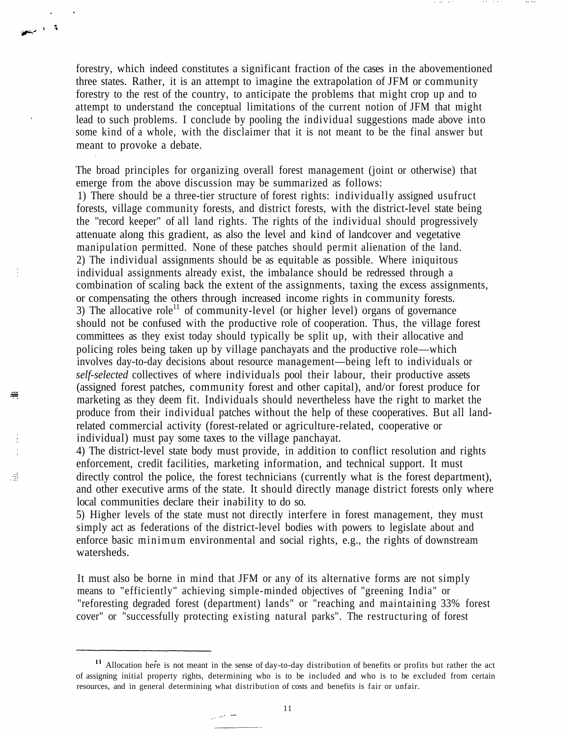forestry, which indeed constitutes a significant fraction of the cases in the abovementioned three states. Rather, it is an attempt to imagine the extrapolation of JFM or community forestry to the rest of the country, to anticipate the problems that might crop up and to attempt to understand the conceptual limitations of the current notion of JFM that might lead to such problems. I conclude by pooling the individual suggestions made above into some kind of a whole, with the disclaimer that it is not meant to be the final answer but meant to provoke a debate.

ه ال

₩

Ã

The broad principles for organizing overall forest management (joint or otherwise) that emerge from the above discussion may be summarized as follows:

1) There should be a three-tier structure of forest rights: individually assigned usufruct forests, village community forests, and district forests, with the district-level state being the "record keeper" of all land rights. The rights of the individual should progressively attenuate along this gradient, as also the level and kind of landcover and vegetative manipulation permitted. None of these patches should permit alienation of the land. 2) The individual assignments should be as equitable as possible. Where iniquitous individual assignments already exist, the imbalance should be redressed through a combination of scaling back the extent of the assignments, taxing the excess assignments, or compensating the others through increased income rights in community forests. 3) The allocative role<sup>11</sup> of community-level (or higher level) organs of governance should not be confused with the productive role of cooperation. Thus, the village forest committees as they exist today should typically be split up, with their allocative and policing roles being taken up by village panchayats and the productive role—which involves day-to-day decisions about resource management—being left to individuals or *self-selected* collectives of where individuals pool their labour, their productive assets (assigned forest patches, community forest and other capital), and/or forest produce for marketing as they deem fit. Individuals should nevertheless have the right to market the produce from their individual patches without the help of these cooperatives. But all landrelated commercial activity (forest-related or agriculture-related, cooperative or individual) must pay some taxes to the village panchayat.

4) The district-level state body must provide, in addition to conflict resolution and rights enforcement, credit facilities, marketing information, and technical support. It must directly control the police, the forest technicians (currently what is the forest department), and other executive arms of the state. It should directly manage district forests only where local communities declare their inability to do so.

5) Higher levels of the state must not directly interfere in forest management, they must simply act as federations of the district-level bodies with powers to legislate about and enforce basic minimum environmental and social rights, e.g., the rights of downstream watersheds.

It must also be borne in mind that JFM or any of its alternative forms are not simply means to "efficiently" achieving simple-minded objectives of "greening India" or "reforesting degraded forest (department) lands" or "reaching and maintaining 33% forest cover" or "successfully protecting existing natural parks". The restructuring of forest

سا مبران

<sup>&</sup>lt;sup>11</sup> Allocation here is not meant in the sense of day-to-day distribution of benefits or profits but rather the act of assigning initial property rights, determining who is to be included and who is to be excluded from certain resources, and in general determining what distribution of costs and benefits is fair or unfair.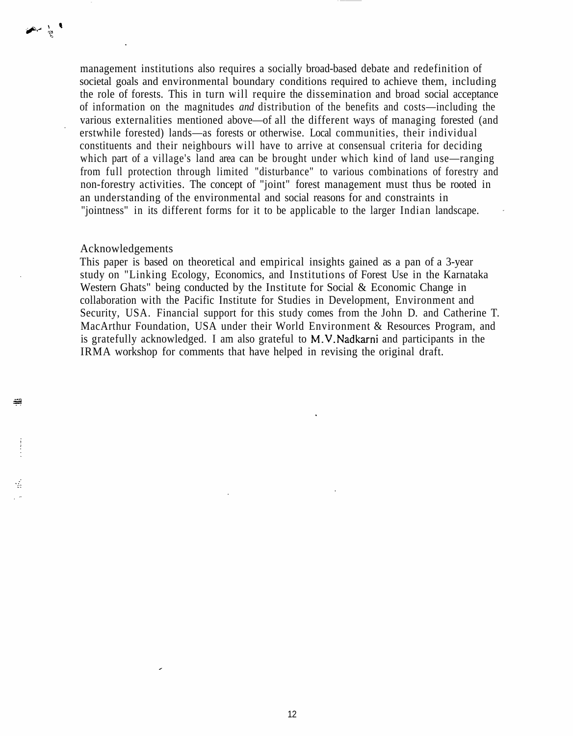management institutions also requires a socially broad-based debate and redefinition of societal goals and environmental boundary conditions required to achieve them, including the role of forests. This in turn will require the dissemination and broad social acceptance of information on the magnitudes *and* distribution of the benefits and costs—including the various externalities mentioned above—of all the different ways of managing forested (and erstwhile forested) lands—as forests or otherwise. Local communities, their individual constituents and their neighbours will have to arrive at consensual criteria for deciding which part of a village's land area can be brought under which kind of land use—ranging from full protection through limited "disturbance" to various combinations of forestry and non-forestry activities. The concept of "joint" forest management must thus be rooted in an understanding of the environmental and social reasons for and constraints in "jointness" in its different forms for it to be applicable to the larger Indian landscape.

### Acknowledgements

 $\rightarrow$ 

ä

÷

This paper is based on theoretical and empirical insights gained as a pan of a 3-year study on "Linking Ecology, Economics, and Institutions of Forest Use in the Karnataka Western Ghats" being conducted by the Institute for Social & Economic Change in collaboration with the Pacific Institute for Studies in Development, Environment and Security, USA. Financial support for this study comes from the John D. and Catherine T. MacArthur Foundation, USA under their World Environment & Resources Program, and is gratefully acknowledged. I am also grateful to M.V.Nadkarni and participants in the IRMA workshop for comments that have helped in revising the original draft.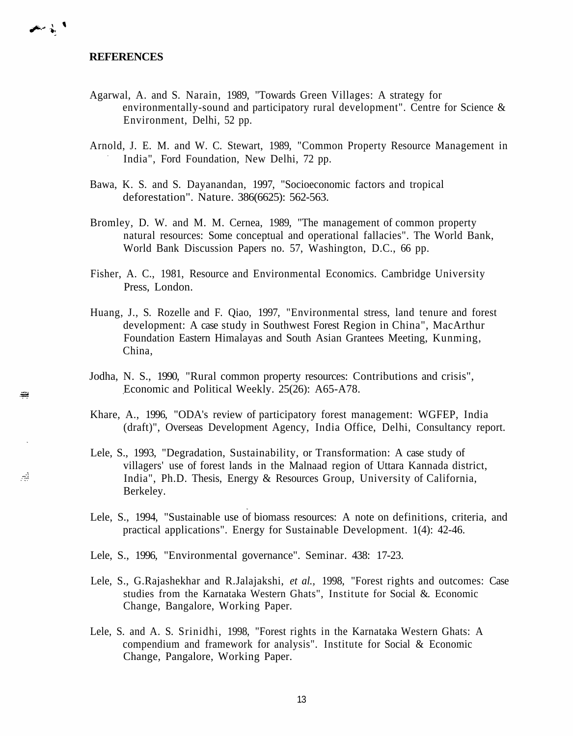المرش المنظمي

æ

ia.

- Agarwal, A. and S. Narain, 1989, "Towards Green Villages: A strategy for environmentally-sound and participatory rural development". Centre for Science & Environment, Delhi, 52 pp.
- Arnold, J. E. M. and W. C. Stewart, 1989, "Common Property Resource Management in India", Ford Foundation, New Delhi, 72 pp.
- Bawa, K. S. and S. Dayanandan, 1997, "Socioeconomic factors and tropical deforestation". Nature. 386(6625): 562-563.
- Bromley, D. W. and M. M. Cernea, 1989, "The management of common property natural resources: Some conceptual and operational fallacies". The World Bank, World Bank Discussion Papers no. 57, Washington, D.C., 66 pp.
- Fisher, A. C., 1981, Resource and Environmental Economics. Cambridge University Press, London.
- Huang, J., S. Rozelle and F. Qiao, 1997, "Environmental stress, land tenure and forest development: A case study in Southwest Forest Region in China", MacArthur Foundation Eastern Himalayas and South Asian Grantees Meeting, Kunming, China,
- Jodha, N. S., 1990, "Rural common property resources: Contributions and crisis", Economic and Political Weekly. 25(26): A65-A78.
- Khare, A., 1996, "ODA's review of participatory forest management: WGFEP, India (draft)", Overseas Development Agency, India Office, Delhi, Consultancy report.
- Lele, S., 1993, "Degradation, Sustainability, or Transformation: A case study of villagers' use of forest lands in the Malnaad region of Uttara Kannada district, India", Ph.D. Thesis, Energy & Resources Group, University of California, Berkeley.
- Lele, S., 1994, "Sustainable use of biomass resources: A note on definitions, criteria, and practical applications". Energy for Sustainable Development. 1(4): 42-46.
- Lele, S., 1996, "Environmental governance". Seminar. 438: 17-23.
- Lele, S., G.Rajashekhar and R.Jalajakshi, *et al.,* 1998, "Forest rights and outcomes: Case studies from the Karnataka Western Ghats", Institute for Social &. Economic Change, Bangalore, Working Paper.
- Lele, S. and A. S. Srinidhi, 1998, "Forest rights in the Karnataka Western Ghats: A compendium and framework for analysis". Institute for Social & Economic Change, Pangalore, Working Paper.